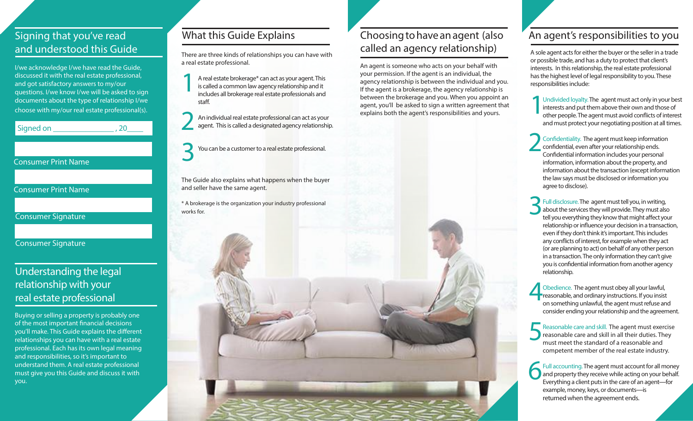#### Signing that you've read and understood this Guide

I/we acknowledge I/we have read the Guide, discussed it with the real estate professional, and got satisfactory answers to my/our questions. I/we know I/we will be asked to sign documents about the type of relationship I/we choose with my/our real estate professional(s).

Signed on \_\_\_\_\_\_\_\_\_\_\_\_\_\_\_\_\_\_\_\_\_, 20\_

#### Consumer Print Name

Consumer Print Name

Consumer Signature

Consumer Signature

#### Understanding the legal relationship with your real estate professional

Buying or selling a property is probably one of the most important financial decisions you'll make. This Guide explains the different relationships you can have with a real estate professional. Each has its own legal meaning and responsibilities, so it's important to understand them. A real estate professional must give you this Guide and discuss it with you.

#### What this Guide Explains

There are three kinds of relationships you can have with a real estate professional.

A real estate brokerage\* can act as your agent. This is called a common law agency relationship and it includes all brokerage real estate professionals and staff. 1

An individual real estate professional can act as your agent. This is called a designated agency relationship. 2

You can be a customer to a real estate professional. 3

The Guide also explains what happens when the buyer and seller have the same agent.

\* A brokerage is the organization your industry professional works for.

#### Choosing to have an agent (also called an agency relationship)

An agent is someone who acts on your behalf with your permission. If the agent is an individual, the agency relationship is between the individual and you. If the agent is a brokerage, the agency relationship is between the brokerage and you. When you appoint an agent, you'll be asked to sign a written agreement that explains both the agent's responsibilities and yours.

### An agent's responsibilities to you

A sole agent acts for either the buyer or the seller in a trade or possible trade, and has a duty to protect that client's interests. In this relationship, the real estate professional has the highest level of legal responsibility to you. These responsibilities include:

Undivided loyalty. The agent must act only in your best interests and put them above their own and those of other people. The agent must avoid conflicts of interest and must protect your negotiating position at all times. 1

Confidentiality. The agent must keep information confidential, even after your relationship ends. Confidential information includes your personal information, information about the property, and information about the transaction (except information the law says must be disclosed or information you agree to disclose). 2

Full disclosure. The agent must tell you, in writing, about the services they will provide. They must also tell you everything they know that might affect your relationship or influence your decision in a transaction, even if they don't think it's important. This includes any conflicts of interest, for example when they act (or are planning to act) on behalf of any other person in a transaction. The only information they can't give you is confidential information from another agency relationship. 3

Obedience. The agent must obey all your lawful, reasonable, and ordinary instructions. If you insist on something unlawful, the agent must refuse and consider ending your relationship and the agreement. 4

Reasonable care and skill. The agent must exercise reasonable care and skill in all their duties. They must meet the standard of a reasonable and competent member of the real estate industry. 5

Full accounting. The agent must account for all money and property they receive while acting on your behalf. Everything a client puts in the care of an agent—for example, money, keys, or documents—is returned when the agreement ends. 6